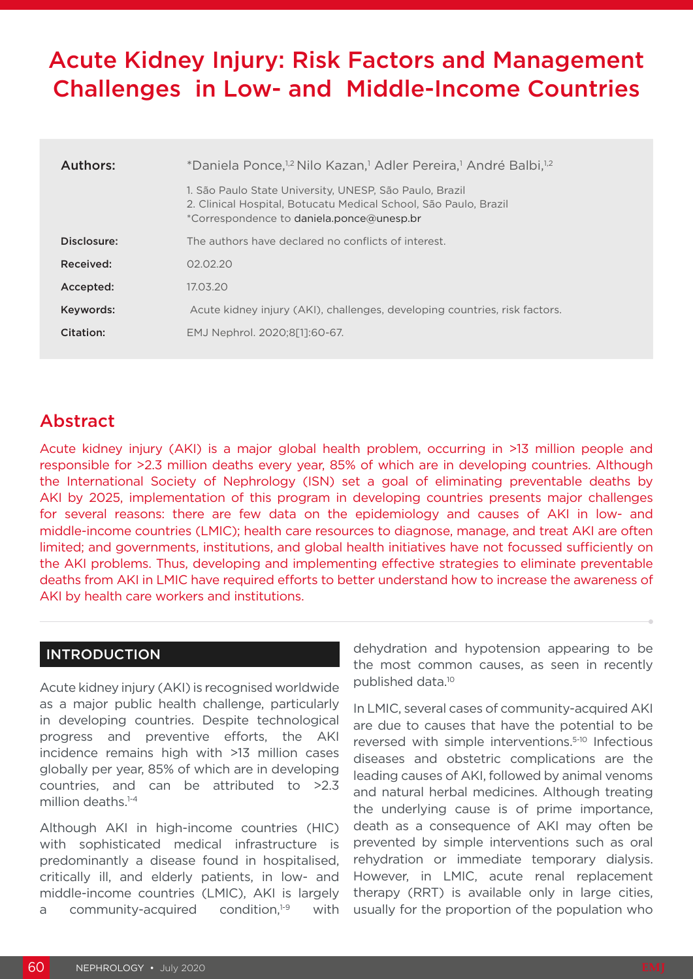# Acute Kidney Injury: Risk Factors and Management Challenges in Low- and Middle-Income Countries

| Authors:    | *Daniela Ponce, <sup>1,2</sup> Nilo Kazan, <sup>1</sup> Adler Pereira, <sup>1</sup> André Balbi, <sup>1,2</sup>                                                          |  |  |  |  |  |  |
|-------------|--------------------------------------------------------------------------------------------------------------------------------------------------------------------------|--|--|--|--|--|--|
|             | 1. São Paulo State University, UNESP, São Paulo, Brazil<br>2. Clinical Hospital, Botucatu Medical School, São Paulo, Brazil<br>*Correspondence to daniela.ponce@unesp.br |  |  |  |  |  |  |
| Disclosure: | The authors have declared no conflicts of interest.                                                                                                                      |  |  |  |  |  |  |
| Received:   | 02.02.20                                                                                                                                                                 |  |  |  |  |  |  |
| Accepted:   | 17.03.20                                                                                                                                                                 |  |  |  |  |  |  |
| Keywords:   | Acute kidney injury (AKI), challenges, developing countries, risk factors.                                                                                               |  |  |  |  |  |  |
| Citation:   | EMJ Nephrol. 2020;8[1]:60-67.                                                                                                                                            |  |  |  |  |  |  |

## Abstract

Acute kidney injury (AKI) is a major global health problem, occurring in >13 million people and responsible for >2.3 million deaths every year, 85% of which are in developing countries. Although the International Society of Nephrology (ISN) set a goal of eliminating preventable deaths by AKI by 2025, implementation of this program in developing countries presents major challenges for several reasons: there are few data on the epidemiology and causes of AKI in low- and middle-income countries (LMIC); health care resources to diagnose, manage, and treat AKI are often limited; and governments, institutions, and global health initiatives have not focussed sufficiently on the AKI problems. Thus, developing and implementing effective strategies to eliminate preventable deaths from AKI in LMIC have required efforts to better understand how to increase the awareness of AKI by health care workers and institutions.

#### INTRODUCTION

Acute kidney injury (AKI) is recognised worldwide as a major public health challenge, particularly in developing countries. Despite technological progress and preventive efforts, the AKI incidence remains high with >13 million cases globally per year, 85% of which are in developing countries, and can be attributed to >2.3 million deaths.<sup>1-4</sup>

Although AKI in high-income countries (HIC) with sophisticated medical infrastructure is predominantly a disease found in hospitalised, critically ill, and elderly patients, in low- and middle-income countries (LMIC), AKI is largely a community-acquired condition, $1-9$  with

dehydration and hypotension appearing to be the most common causes, as seen in recently published data.10

In LMIC, several cases of community-acquired AKI are due to causes that have the potential to be reversed with simple interventions.5-10 Infectious diseases and obstetric complications are the leading causes of AKI, followed by animal venoms and natural herbal medicines. Although treating the underlying cause is of prime importance, death as a consequence of AKI may often be prevented by simple interventions such as oral rehydration or immediate temporary dialysis. However, in LMIC, acute renal replacement therapy (RRT) is available only in large cities, usually for the proportion of the population who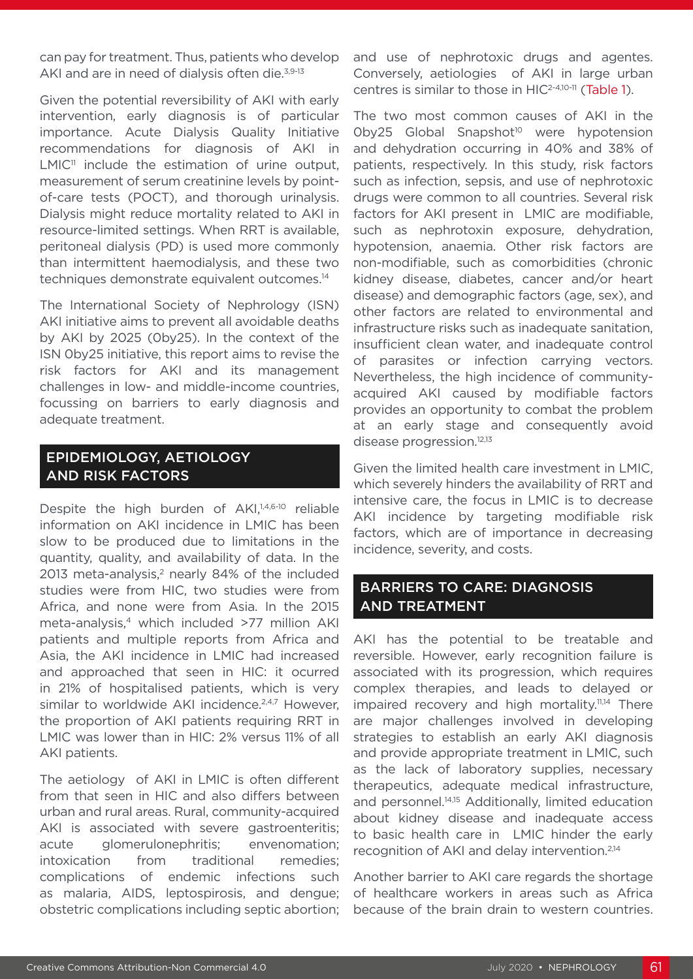can pay for treatment. Thus, patients who develop AKI and are in need of dialysis often die.<sup>3,9-13</sup>

Given the potential reversibility of AKI with early intervention, early diagnosis is of particular importance. Acute Dialysis Quality Initiative recommendations for diagnosis of AKI in  $LMIC<sup>11</sup>$  include the estimation of urine output, measurement of serum creatinine levels by pointof-care tests (POCT), and thorough urinalysis. Dialysis might reduce mortality related to AKI in resource-limited settings. When RRT is available, peritoneal dialysis (PD) is used more commonly than intermittent haemodialysis, and these two techniques demonstrate equivalent outcomes.14

The International Society of Nephrology (ISN) AKI initiative aims to prevent all avoidable deaths by AKI by 2025 (0by25). In the context of the ISN 0by25 initiative, this report aims to revise the risk factors for AKI and its management challenges in low- and middle-income countries, focussing on barriers to early diagnosis and adequate treatment.

### EPIDEMIOLOGY, AETIOLOGY AND RISK FACTORS

Despite the high burden of AKI,<sup>1,4,6-10</sup> reliable information on AKI incidence in LMIC has been slow to be produced due to limitations in the quantity, quality, and availability of data. In the 2013 meta-analysis,<sup>2</sup> nearly 84% of the included studies were from HIC, two studies were from Africa, and none were from Asia. In the 2015 meta-analysis,<sup>4</sup> which included >77 million AKI patients and multiple reports from Africa and Asia, the AKI incidence in LMIC had increased and approached that seen in HIC: it ocurred in 21% of hospitalised patients, which is very similar to worldwide AKI incidence.<sup>2,4,7</sup> However, the proportion of AKI patients requiring RRT in LMIC was lower than in HIC: 2% versus 11% of all AKI patients.

The aetiology of AKI in LMIC is often different from that seen in HIC and also differs between urban and rural areas. Rural, community-acquired AKI is associated with severe gastroenteritis; acute glomerulonephritis; envenomation; intoxication from traditional remedies; complications of endemic infections such as malaria, AIDS, leptospirosis, and dengue; obstetric complications including septic abortion;

and use of nephrotoxic drugs and agentes. Conversely, aetiologies of AKI in large urban centres is similar to those in HIC2-4,10-11 (Table 1).

The two most common causes of AKI in the Oby25 Global Snapshot<sup>10</sup> were hypotension and dehydration occurring in 40% and 38% of patients, respectively. In this study, risk factors such as infection, sepsis, and use of nephrotoxic drugs were common to all countries. Several risk factors for AKI present in LMIC are modifiable, such as nephrotoxin exposure, dehydration, hypotension, anaemia. Other risk factors are non-modifiable, such as comorbidities (chronic kidney disease, diabetes, cancer and/or heart disease) and demographic factors (age, sex), and other factors are related to environmental and infrastructure risks such as inadequate sanitation, insufficient clean water, and inadequate control of parasites or infection carrying vectors. Nevertheless, the high incidence of communityacquired AKI caused by modifiable factors provides an opportunity to combat the problem at an early stage and consequently avoid disease progression.<sup>12,13</sup>

Given the limited health care investment in LMIC, which severely hinders the availability of RRT and intensive care, the focus in LMIC is to decrease AKI incidence by targeting modifiable risk factors, which are of importance in decreasing incidence, severity, and costs.

#### BARRIERS TO CARE: DIAGNOSIS AND TREATMENT

AKI has the potential to be treatable and reversible. However, early recognition failure is associated with its progression, which requires complex therapies, and leads to delayed or impaired recovery and high mortality.<sup>11,14</sup> There are major challenges involved in developing strategies to establish an early AKI diagnosis and provide appropriate treatment in LMIC, such as the lack of laboratory supplies, necessary therapeutics, adequate medical infrastructure, and personnel.<sup>14,15</sup> Additionally, limited education about kidney disease and inadequate access to basic health care in LMIC hinder the early recognition of AKI and delay intervention.2,14

Another barrier to AKI care regards the shortage of healthcare workers in areas such as Africa because of the brain drain to western countries.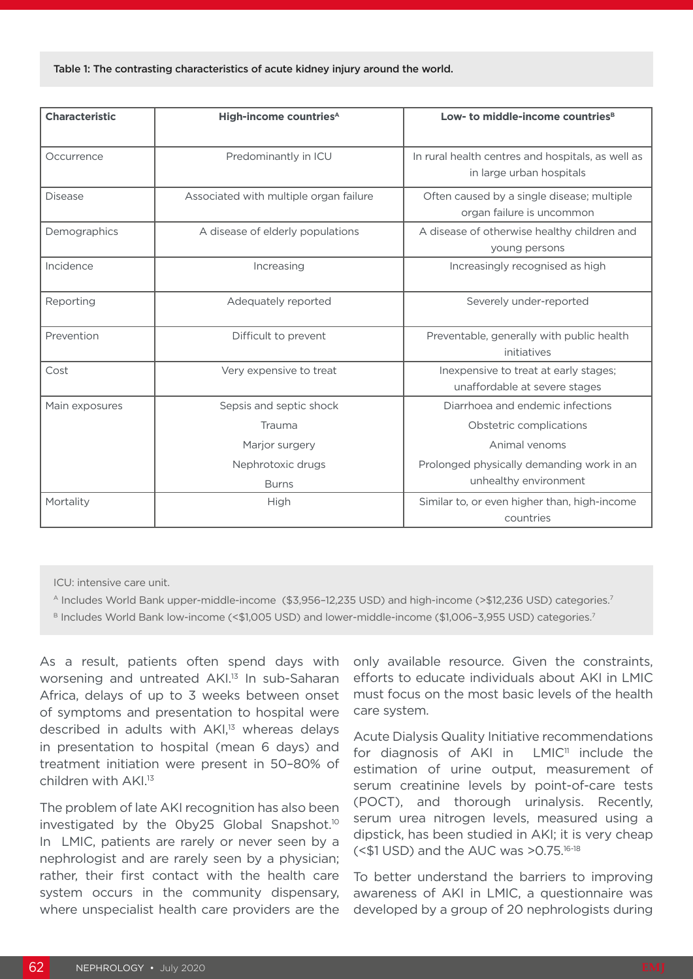| <b>Characteristic</b> | High-income countries <sup>A</sup>     | Low- to middle-income countries <sup>B</sup><br>In rural health centres and hospitals, as well as<br>in large urban hospitals |  |  |  |
|-----------------------|----------------------------------------|-------------------------------------------------------------------------------------------------------------------------------|--|--|--|
| Occurrence            | Predominantly in ICU                   |                                                                                                                               |  |  |  |
| <b>Disease</b>        | Associated with multiple organ failure | Often caused by a single disease; multiple<br>organ failure is uncommon                                                       |  |  |  |
| Demographics          | A disease of elderly populations       | A disease of otherwise healthy children and<br>young persons                                                                  |  |  |  |
| Incidence             | Increasing                             | Increasingly recognised as high                                                                                               |  |  |  |
| Reporting             | Adequately reported                    | Severely under-reported                                                                                                       |  |  |  |
| Prevention            | Difficult to prevent                   | Preventable, generally with public health<br>initiatives                                                                      |  |  |  |
| Cost                  | Very expensive to treat                | Inexpensive to treat at early stages;<br>unaffordable at severe stages                                                        |  |  |  |
| Main exposures        | Sepsis and septic shock                | Diarrhoea and endemic infections                                                                                              |  |  |  |
|                       | Trauma                                 | Obstetric complications                                                                                                       |  |  |  |
|                       | Marjor surgery                         | Animal venoms                                                                                                                 |  |  |  |
|                       | Nephrotoxic drugs<br><b>Burns</b>      | Prolonged physically demanding work in an<br>unhealthy environment                                                            |  |  |  |
| Mortality             | High                                   | Similar to, or even higher than, high-income<br>countries                                                                     |  |  |  |

ICU: intensive care unit.

A Includes World Bank upper-middle-income (\$3,956–12,235 USD) and high-income (>\$12,236 USD) categories.7

B Includes World Bank low-income (<\$1,005 USD) and lower-middle-income (\$1,006-3,955 USD) categories.<sup>7</sup>

As a result, patients often spend days with worsening and untreated AKI.<sup>13</sup> In sub-Saharan Africa, delays of up to 3 weeks between onset of symptoms and presentation to hospital were described in adults with AKI,<sup>13</sup> whereas delays in presentation to hospital (mean 6 days) and treatment initiation were present in 50–80% of children with AKI.13

The problem of late AKI recognition has also been investigated by the Oby25 Global Snapshot.<sup>10</sup> In LMIC, patients are rarely or never seen by a nephrologist and are rarely seen by a physician; rather, their first contact with the health care system occurs in the community dispensary, where unspecialist health care providers are the

only available resource. Given the constraints, efforts to educate individuals about AKI in LMIC must focus on the most basic levels of the health care system.

Acute Dialysis Quality Initiative recommendations for diagnosis of AKI in LMIC<sup>11</sup> include the estimation of urine output, measurement of serum creatinine levels by point-of-care tests (POCT), and thorough urinalysis. Recently, serum urea nitrogen levels, measured using a dipstick, has been studied in AKI; it is very cheap (<\$1 USD) and the AUC was >0.75.16-18

To better understand the barriers to improving awareness of AKI in LMIC, a questionnaire was developed by a group of 20 nephrologists during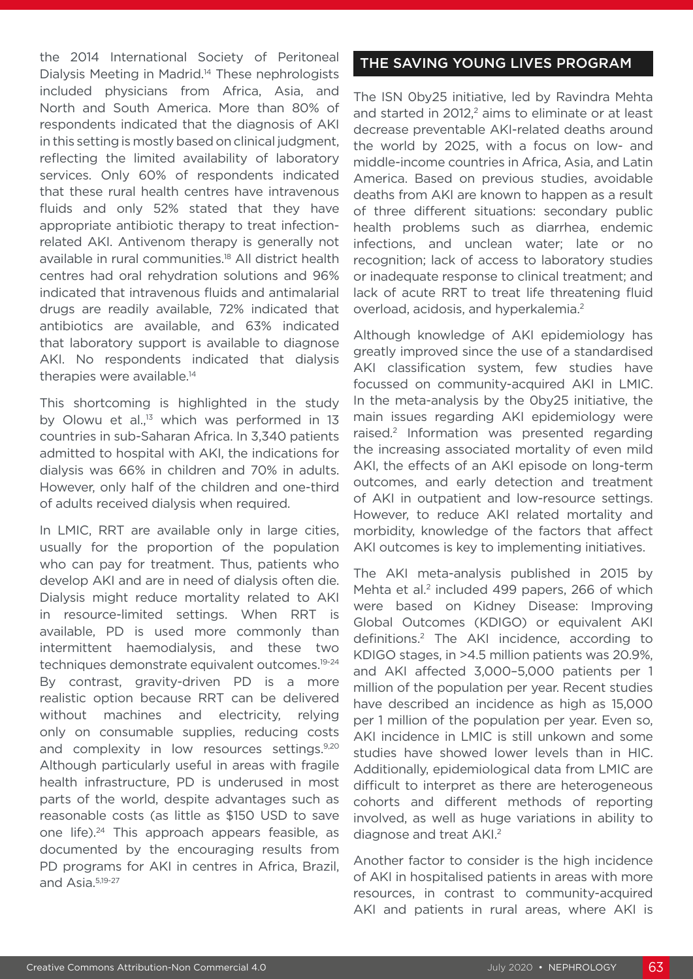the 2014 International Society of Peritoneal Dialysis Meeting in Madrid.14 These nephrologists included physicians from Africa, Asia, and North and South America. More than 80% of respondents indicated that the diagnosis of AKI in this setting is mostly based on clinical judgment, reflecting the limited availability of laboratory services. Only 60% of respondents indicated that these rural health centres have intravenous fluids and only 52% stated that they have appropriate antibiotic therapy to treat infectionrelated AKI. Antivenom therapy is generally not available in rural communities.18 All district health centres had oral rehydration solutions and 96% indicated that intravenous fluids and antimalarial drugs are readily available, 72% indicated that antibiotics are available, and 63% indicated that laboratory support is available to diagnose AKI. No respondents indicated that dialysis therapies were available.<sup>14</sup>

This shortcoming is highlighted in the study by Olowu et al.,<sup>13</sup> which was performed in 13 countries in sub-Saharan Africa. In 3,340 patients admitted to hospital with AKI, the indications for dialysis was 66% in children and 70% in adults. However, only half of the children and one-third of adults received dialysis when required.

In LMIC, RRT are available only in large cities, usually for the proportion of the population who can pay for treatment. Thus, patients who develop AKI and are in need of dialysis often die. Dialysis might reduce mortality related to AKI in resource-limited settings. When RRT is available, PD is used more commonly than intermittent haemodialysis, and these two techniques demonstrate equivalent outcomes.19-24 By contrast, gravity-driven PD is a more realistic option because RRT can be delivered without machines and electricity, relying only on consumable supplies, reducing costs and complexity in low resources settings.<sup>9,20</sup> Although particularly useful in areas with fragile health infrastructure, PD is underused in most parts of the world, despite advantages such as reasonable costs (as little as \$150 USD to save one life).24 This approach appears feasible, as documented by the encouraging results from PD programs for AKI in centres in Africa, Brazil, and Asia.5,19-27

#### THE SAVING YOUNG LIVES PROGRAM

The ISN 0by25 initiative, led by Ravindra Mehta and started in 2012,<sup>2</sup> aims to eliminate or at least decrease preventable AKI-related deaths around the world by 2025, with a focus on low- and middle-income countries in Africa, Asia, and Latin America. Based on previous studies, avoidable deaths from AKI are known to happen as a result of three different situations: secondary public health problems such as diarrhea, endemic infections, and unclean water; late or no recognition; lack of access to laboratory studies or inadequate response to clinical treatment; and lack of acute RRT to treat life threatening fluid overload, acidosis, and hyperkalemia.<sup>2</sup>

Although knowledge of AKI epidemiology has greatly improved since the use of a standardised AKI classification system, few studies have focussed on community-acquired AKI in LMIC. In the meta-analysis by the 0by25 initiative, the main issues regarding AKI epidemiology were raised.2 Information was presented regarding the increasing associated mortality of even mild AKI, the effects of an AKI episode on long-term outcomes, and early detection and treatment of AKI in outpatient and low-resource settings. However, to reduce AKI related mortality and morbidity, knowledge of the factors that affect AKI outcomes is key to implementing initiatives.

The AKI meta-analysis published in 2015 by Mehta et al.<sup>2</sup> included 499 papers, 266 of which were based on Kidney Disease: Improving Global Outcomes (KDIGO) or equivalent AKI definitions.2 The AKI incidence, according to KDIGO stages, in >4.5 million patients was 20.9%, and AKI affected 3,000–5,000 patients per 1 million of the population per year. Recent studies have described an incidence as high as 15,000 per 1 million of the population per year. Even so, AKI incidence in LMIC is still unkown and some studies have showed lower levels than in HIC. Additionally, epidemiological data from LMIC are difficult to interpret as there are heterogeneous cohorts and different methods of reporting involved, as well as huge variations in ability to diagnose and treat AKI.2

Another factor to consider is the high incidence of AKI in hospitalised patients in areas with more resources, in contrast to community-acquired AKI and patients in rural areas, where AKI is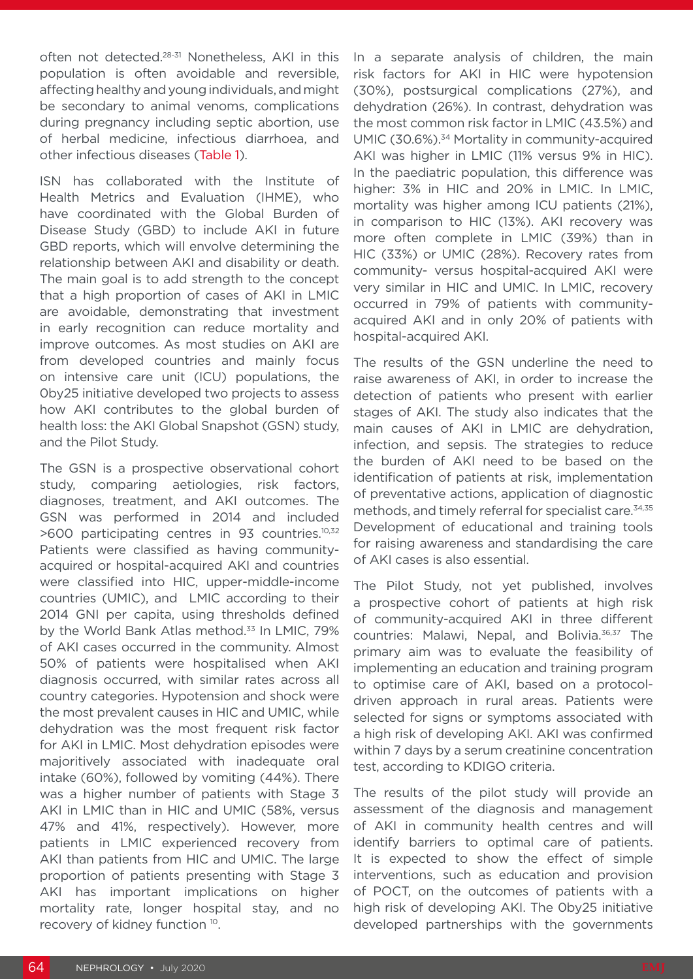often not detected.<sup>28-31</sup> Nonetheless, AKI in this population is often avoidable and reversible, affecting healthy and young individuals, and might be secondary to animal venoms, complications during pregnancy including septic abortion, use of herbal medicine, infectious diarrhoea, and other infectious diseases (Table 1).

ISN has collaborated with the Institute of Health Metrics and Evaluation (IHME), who have coordinated with the Global Burden of Disease Study (GBD) to include AKI in future GBD reports, which will envolve determining the relationship between AKI and disability or death. The main goal is to add strength to the concept that a high proportion of cases of AKI in LMIC are avoidable, demonstrating that investment in early recognition can reduce mortality and improve outcomes. As most studies on AKI are from developed countries and mainly focus on intensive care unit (ICU) populations, the 0by25 initiative developed two projects to assess how AKI contributes to the global burden of health loss: the AKI Global Snapshot (GSN) study, and the Pilot Study.

The GSN is a prospective observational cohort study, comparing aetiologies, risk factors, diagnoses, treatment, and AKI outcomes. The GSN was performed in 2014 and included >600 participating centres in 93 countries.10,32 Patients were classified as having communityacquired or hospital-acquired AKI and countries were classified into HIC, upper-middle-income countries (UMIC), and LMIC according to their 2014 GNI per capita, using thresholds defined by the World Bank Atlas method.<sup>33</sup> In LMIC, 79% of AKI cases occurred in the community. Almost 50% of patients were hospitalised when AKI diagnosis occurred, with similar rates across all country categories. Hypotension and shock were the most prevalent causes in HIC and UMIC, while dehydration was the most frequent risk factor for AKI in LMIC. Most dehydration episodes were majoritively associated with inadequate oral intake (60%), followed by vomiting (44%). There was a higher number of patients with Stage 3 AKI in LMIC than in HIC and UMIC (58%, versus 47% and 41%, respectively). However, more patients in LMIC experienced recovery from AKI than patients from HIC and UMIC. The large proportion of patients presenting with Stage 3 AKI has important implications on higher mortality rate, longer hospital stay, and no recovery of kidney function 10.

In a separate analysis of children, the main risk factors for AKI in HIC were hypotension (30%), postsurgical complications (27%), and dehydration (26%). In contrast, dehydration was the most common risk factor in LMIC (43.5%) and UMIC (30.6%).34 Mortality in community-acquired AKI was higher in LMIC (11% versus 9% in HIC). In the paediatric population, this difference was higher: 3% in HIC and 20% in LMIC. In LMIC, mortality was higher among ICU patients (21%), in comparison to HIC (13%). AKI recovery was more often complete in LMIC (39%) than in HIC (33%) or UMIC (28%). Recovery rates from community- versus hospital-acquired AKI were very similar in HIC and UMIC. In LMIC, recovery occurred in 79% of patients with communityacquired AKI and in only 20% of patients with hospital-acquired AKI.

The results of the GSN underline the need to raise awareness of AKI, in order to increase the detection of patients who present with earlier stages of AKI. The study also indicates that the main causes of AKI in LMIC are dehydration, infection, and sepsis. The strategies to reduce the burden of AKI need to be based on the identification of patients at risk, implementation of preventative actions, application of diagnostic methods, and timely referral for specialist care.<sup>34,35</sup> Development of educational and training tools for raising awareness and standardising the care of AKI cases is also essential.

The Pilot Study, not yet published, involves a prospective cohort of patients at high risk of community-acquired AKI in three different countries: Malawi, Nepal, and Bolivia.36,37 The primary aim was to evaluate the feasibility of implementing an education and training program to optimise care of AKI, based on a protocoldriven approach in rural areas. Patients were selected for signs or symptoms associated with a high risk of developing AKI. AKI was confirmed within 7 days by a serum creatinine concentration test, according to KDIGO criteria.

The results of the pilot study will provide an assessment of the diagnosis and management of AKI in community health centres and will identify barriers to optimal care of patients. It is expected to show the effect of simple interventions, such as education and provision of POCT, on the outcomes of patients with a high risk of developing AKI. The 0by25 initiative developed partnerships with the governments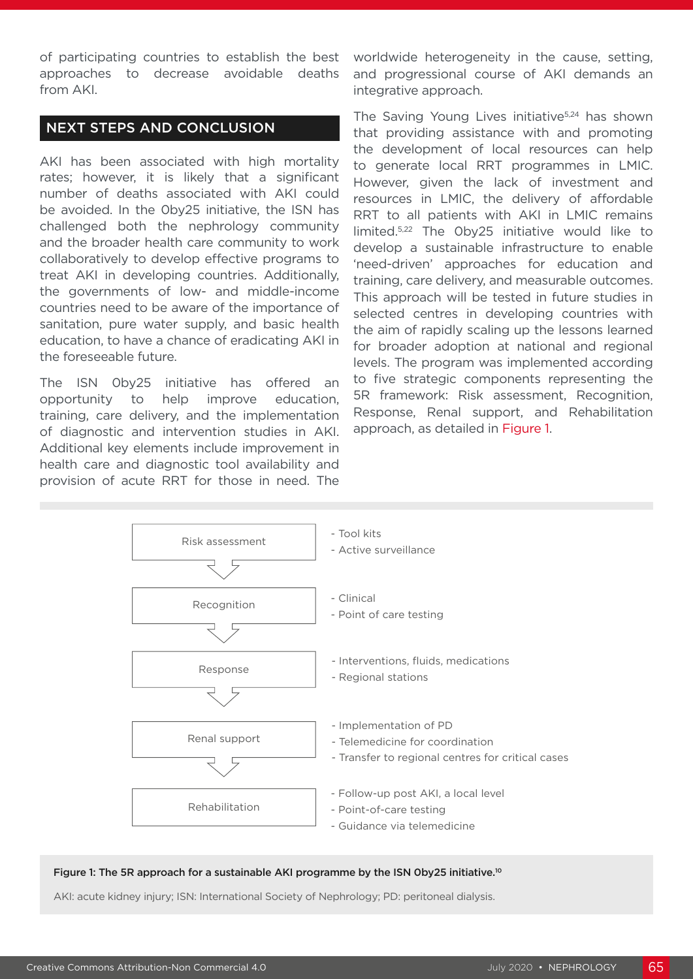of participating countries to establish the best approaches to decrease avoidable deaths from AKI.

#### NEXT STEPS AND CONCLUSION

AKI has been associated with high mortality rates; however, it is likely that a significant number of deaths associated with AKI could be avoided. In the 0by25 initiative, the ISN has challenged both the nephrology community and the broader health care community to work collaboratively to develop effective programs to treat AKI in developing countries. Additionally, the governments of low- and middle-income countries need to be aware of the importance of sanitation, pure water supply, and basic health education, to have a chance of eradicating AKI in the foreseeable future.

The ISN 0by25 initiative has offered an opportunity to help improve education, training, care delivery, and the implementation of diagnostic and intervention studies in AKI. Additional key elements include improvement in health care and diagnostic tool availability and provision of acute RRT for those in need. The

worldwide heterogeneity in the cause, setting, and progressional course of AKI demands an integrative approach.

The Saving Young Lives initiative<sup>5,24</sup> has shown that providing assistance with and promoting the development of local resources can help to generate local RRT programmes in LMIC. However, given the lack of investment and resources in LMIC, the delivery of affordable RRT to all patients with AKI in LMIC remains limited.5,22 The 0by25 initiative would like to develop a sustainable infrastructure to enable 'need-driven' approaches for education and training, care delivery, and measurable outcomes. This approach will be tested in future studies in selected centres in developing countries with the aim of rapidly scaling up the lessons learned for broader adoption at national and regional levels. The program was implemented according to five strategic components representing the 5R framework: Risk assessment, Recognition, Response, Renal support, and Rehabilitation approach, as detailed in Figure 1.



#### Figure 1: The 5R approach for a sustainable AKI programme by the ISN 0by25 initiative.<sup>10</sup>

AKI: acute kidney injury; ISN: International Society of Nephrology; PD: peritoneal dialysis.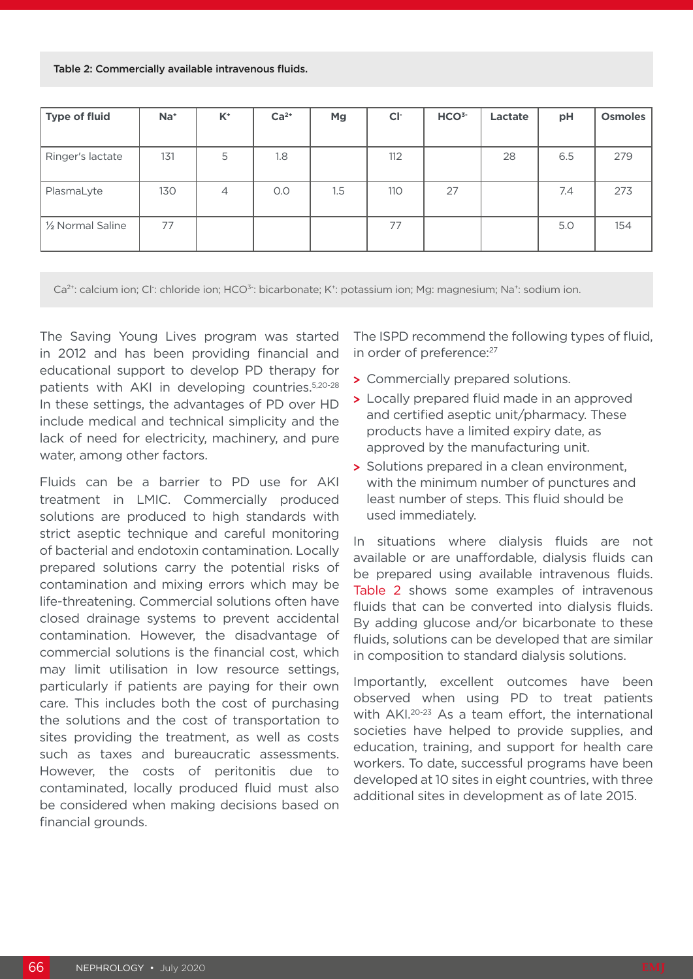Table 2: Commercially available intravenous fluids.

| <b>Type of fluid</b> | $Na+$ | $K^+$          | $Ca2+$ | Mg  | CI <sub>1</sub> | HCO <sup>3-</sup> | Lactate | pH  | <b>Osmoles</b> |
|----------------------|-------|----------------|--------|-----|-----------------|-------------------|---------|-----|----------------|
|                      |       |                |        |     |                 |                   |         |     |                |
| Ringer's lactate     | 131   | 5              | 1.8    |     | 112             |                   | 28      | 6.5 | 279            |
| PlasmaLyte           | 130   | $\overline{4}$ | O.O    | 1.5 | 110             | 27                |         | 7.4 | 273            |
| 1/2 Normal Saline    | 77    |                |        |     | 77              |                   |         | 5.0 | 154            |

Ca<sup>2+</sup>: calcium ion; Cl<sup>-</sup>: chloride ion; HCO<sup>3-</sup>: bicarbonate; K<sup>+</sup>: potassium ion; Mg: magnesium; Na<sup>+</sup>: sodium ion.

The Saving Young Lives program was started in 2012 and has been providing financial and educational support to develop PD therapy for patients with AKI in developing countries.<sup>5,20-28</sup> In these settings, the advantages of PD over HD include medical and technical simplicity and the lack of need for electricity, machinery, and pure water, among other factors.

Fluids can be a barrier to PD use for AKI treatment in LMIC. Commercially produced solutions are produced to high standards with strict aseptic technique and careful monitoring of bacterial and endotoxin contamination. Locally prepared solutions carry the potential risks of contamination and mixing errors which may be life-threatening. Commercial solutions often have closed drainage systems to prevent accidental contamination. However, the disadvantage of commercial solutions is the financial cost, which may limit utilisation in low resource settings, particularly if patients are paying for their own care. This includes both the cost of purchasing the solutions and the cost of transportation to sites providing the treatment, as well as costs such as taxes and bureaucratic assessments. However, the costs of peritonitis due to contaminated, locally produced fluid must also be considered when making decisions based on financial grounds.

The ISPD recommend the following types of fluid, in order of preference:<sup>27</sup>

- **>** Commercially prepared solutions.
- **>** Locally prepared fluid made in an approved and certified aseptic unit/pharmacy. These products have a limited expiry date, as approved by the manufacturing unit.
- **>** Solutions prepared in a clean environment, with the minimum number of punctures and least number of steps. This fluid should be used immediately.

In situations where dialysis fluids are not available or are unaffordable, dialysis fluids can be prepared using available intravenous fluids. Table 2 shows some examples of intravenous fluids that can be converted into dialysis fluids. By adding glucose and/or bicarbonate to these fluids, solutions can be developed that are similar in composition to standard dialysis solutions.

Importantly, excellent outcomes have been observed when using PD to treat patients with AKI.<sup>20-23</sup> As a team effort, the international societies have helped to provide supplies, and education, training, and support for health care workers. To date, successful programs have been developed at 10 sites in eight countries, with three additional sites in development as of late 2015.